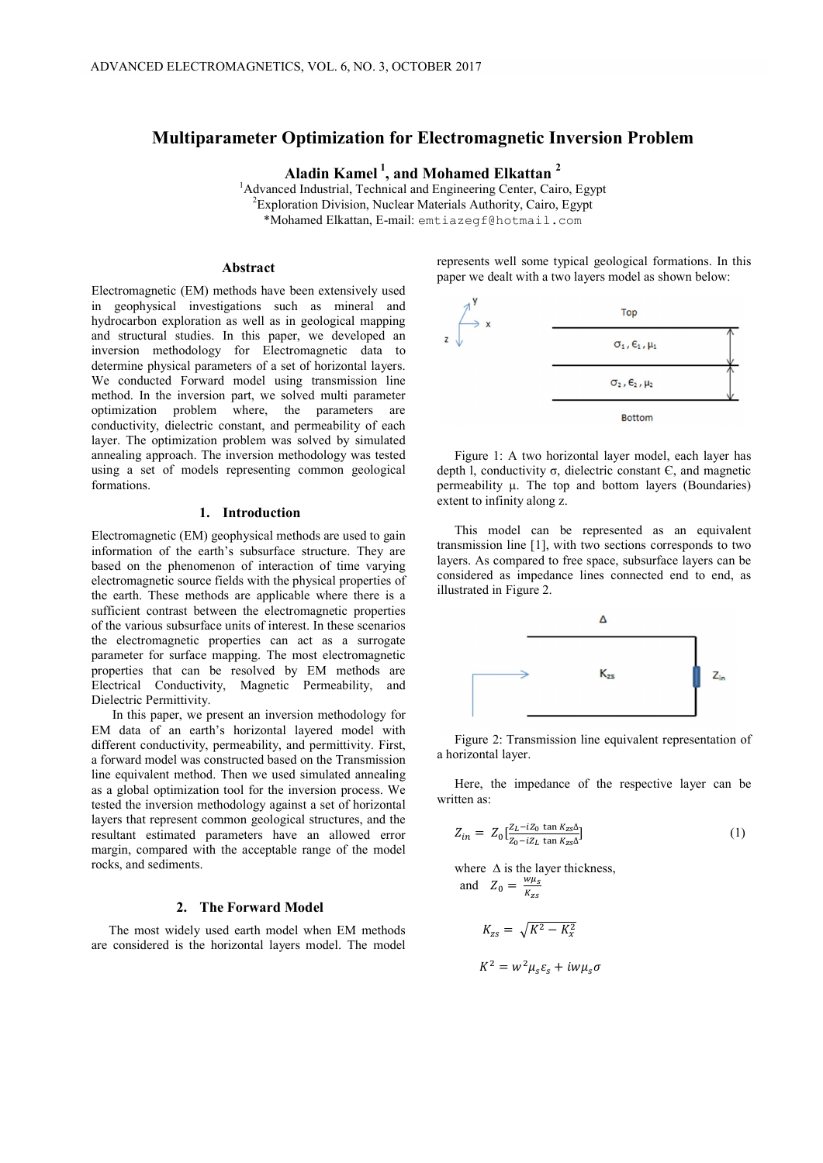# **Multiparameter Optimization for Electromagnetic Inversion Problem**

**Aladin Kamel <sup>1</sup> , and Mohamed Elkattan 2**

<sup>1</sup>Advanced Industrial, Technical and Engineering Center, Cairo, Egypt<br><sup>2</sup>Evploration Division, Nuclear Materials Authority, Cairo, Egypt <sup>2</sup> Exploration Division, Nuclear Materials Authority, Cairo, Egypt \*Mohamed Elkattan, E-mail: emtiazegf@hotmail.com

## **Abstract**

Electromagnetic (EM) methods have been extensively used in geophysical investigations such as mineral and hydrocarbon exploration as well as in geological mapping and structural studies. In this paper, we developed an inversion methodology for Electromagnetic data to determine physical parameters of a set of horizontal layers. We conducted Forward model using transmission line method. In the inversion part, we solved multi parameter optimization problem where, the parameters are conductivity, dielectric constant, and permeability of each layer. The optimization problem was solved by simulated annealing approach. The inversion methodology was tested using a set of models representing common geological formations.

### **1. Introduction**

Electromagnetic (EM) geophysical methods are used to gain information of the earth's subsurface structure. They are based on the phenomenon of interaction of time varying electromagnetic source fields with the physical properties of the earth. These methods are applicable where there is a sufficient contrast between the electromagnetic properties of the various subsurface units of interest. In these scenarios the electromagnetic properties can act as a surrogate parameter for surface mapping. The most electromagnetic properties that can be resolved by EM methods are Electrical Conductivity, Magnetic Permeability, and Dielectric Permittivity.

 In this paper, we present an inversion methodology for EM data of an earth's horizontal layered model with different conductivity, permeability, and permittivity. First, a forward model was constructed based on the Transmission line equivalent method. Then we used simulated annealing as a global optimization tool for the inversion process. We tested the inversion methodology against a set of horizontal layers that represent common geological structures, and the resultant estimated parameters have an allowed error margin, compared with the acceptable range of the model rocks, and sediments.

#### **2. The Forward Model**

The most widely used earth model when EM methods are considered is the horizontal layers model. The model represents well some typical geological formations. In this paper we dealt with a two layers model as shown below:



Figure 1: A two horizontal layer model, each layer has depth l, conductivity σ, dielectric constant Є, and magnetic permeability μ. The top and bottom layers (Boundaries) extent to infinity along z.

This model can be represented as an equivalent transmission line [1], with two sections corresponds to two layers. As compared to free space, subsurface layers can be considered as impedance lines connected end to end, as illustrated in Figure 2.



Figure 2: Transmission line equivalent representation of a horizontal layer.

Here, the impedance of the respective layer can be written as:

$$
Z_{in} = Z_0 \left[ \frac{Z_L - iZ_0 \tan K_{zs}}{Z_0 - iZ_L \tan K_{zs}} \right]
$$
 (1)

where  $\Delta$  is the layer thickness, and  $Z_0 = \frac{w\mu_s}{K_{zs}}$ 

$$
K_{zs} = \sqrt{K^2 - K_x^2}
$$

$$
K^2 = w^2 \mu_s \varepsilon_s + i w \mu_s \sigma
$$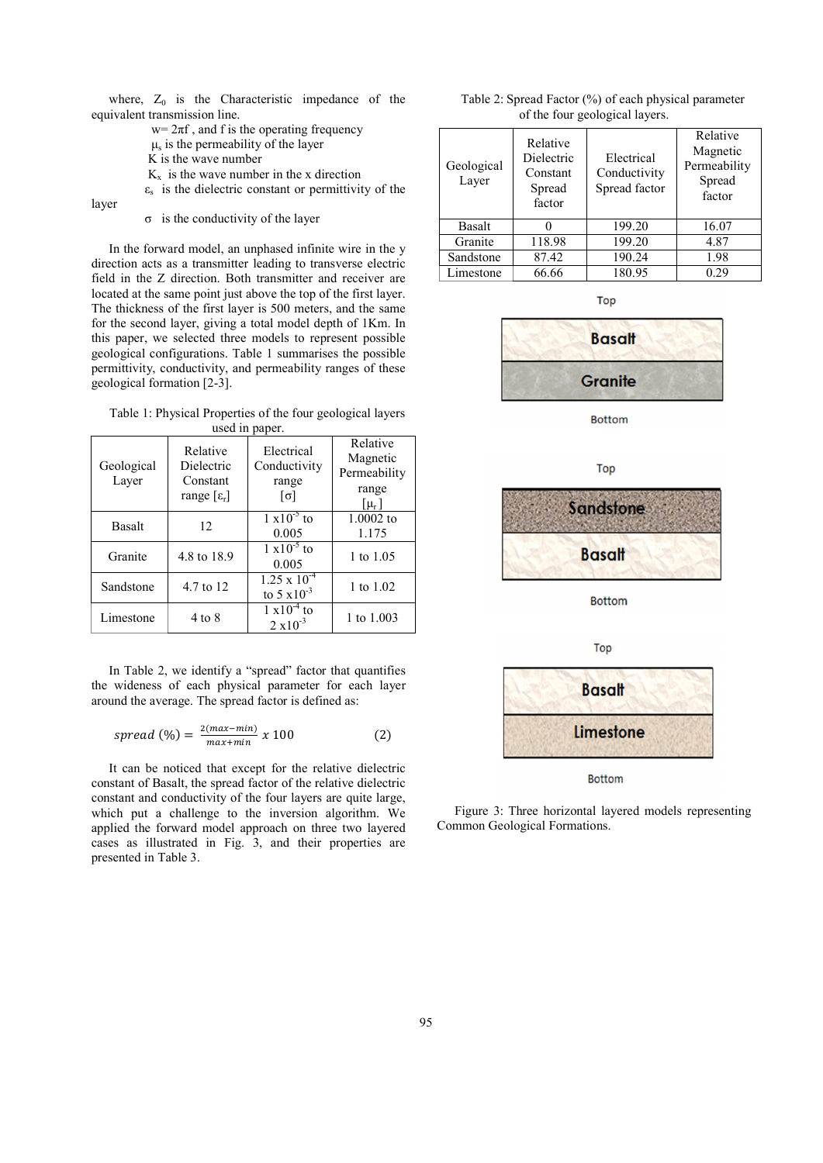where,  $Z_0$  is the Characteristic impedance of the equivalent transmission line.

 $w=2\pi f$ , and f is the operating frequency

- $\mu$ <sub>s</sub> is the permeability of the layer
- K is the wave number

 $K_x$  is the wave number in the x direction

 $\varepsilon_s$  is the dielectric constant or permittivity of the

layer

σ is the conductivity of the layer

In the forward model, an unphased infinite wire in the y direction acts as a transmitter leading to transverse electric field in the Z direction. Both transmitter and receiver are located at the same point just above the top of the first layer. The thickness of the first layer is 500 meters, and the same for the second layer, giving a total model depth of 1Km. In this paper, we selected three models to represent possible geological configurations. Table 1 summarises the possible permittivity, conductivity, and permeability ranges of these geological formation [2-3].

Table 1: Physical Properties of the four geological layers used in paper.

| Geological<br>Layer | Relative<br>Dielectric<br>Constant<br>range $[\epsilon_r]$ | Electrical<br>Conductivity<br>range<br>$\lceil \sigma \rceil$ | Relative<br>Magnetic<br>Permeability<br>range<br>$[\mu_r]$ |
|---------------------|------------------------------------------------------------|---------------------------------------------------------------|------------------------------------------------------------|
| Basalt              | 12                                                         | $1 \times 10^{-5}$ to<br>0.005                                | $1.0002$ to<br>1.175                                       |
| Granite             | 4.8 to 18.9                                                | $1 \times 10^{-5}$ to<br>0.005                                | 1 to 1.05                                                  |
| Sandstone           | 4.7 to 12                                                  | $1.25 \times 10^{-4}$<br>to 5 $x10^{-3}$                      | 1 to 1.02                                                  |
| Limestone           | 4 to 8                                                     | $1 \times 10^{-4}$ to<br>$2 \times 10^{-3}$                   | 1 to 1.003                                                 |

In Table 2, we identify a "spread" factor that quantifies the wideness of each physical parameter for each layer around the average. The spread factor is defined as:

$$
spread\ (\%) = \frac{2(max - min)}{max + min} \ x \ 100 \tag{2}
$$

It can be noticed that except for the relative dielectric constant of Basalt, the spread factor of the relative dielectric constant and conductivity of the four layers are quite large, which put a challenge to the inversion algorithm. We applied the forward model approach on three two layered cases as illustrated in Fig. 3, and their properties are presented in Table 3.

| Table 2: Spread Factor (%) of each physical parameter |  |
|-------------------------------------------------------|--|
| of the four geological layers.                        |  |

| Geological<br>Layer | Relative<br>Dielectric<br>Constant<br>Spread<br>factor | Electrical<br>Conductivity<br>Spread factor | Relative<br>Magnetic<br>Permeability<br>Spread<br>factor |
|---------------------|--------------------------------------------------------|---------------------------------------------|----------------------------------------------------------|
| <b>Basalt</b>       |                                                        | 199.20                                      | 16.07                                                    |
| Granite             | 118.98                                                 | 199.20                                      | 4.87                                                     |
| Sandstone           | 87.42                                                  | 190.24                                      | 1.98                                                     |
| Limestone           | 66.66                                                  | 180.95                                      | 0.29                                                     |

Top



**Bottom** 



Top



**Bottom** 

Figure 3: Three horizontal layered models representing Common Geological Formations.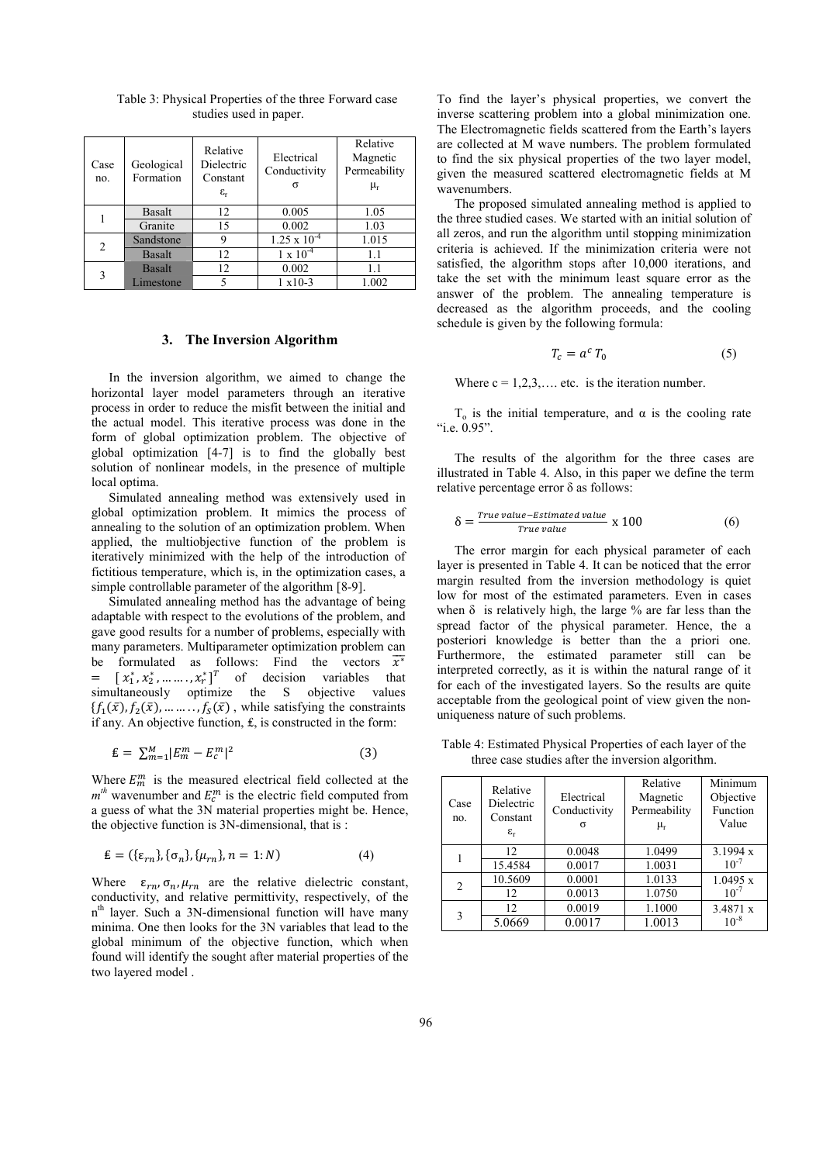| Case<br>no.    | Geological<br>Formation | Relative<br>Dielectric<br>Constant<br>$\varepsilon_{\rm r}$ | Electrical<br>Conductivity<br>ᡴ | Relative<br>Magnetic<br>Permeability<br>$\mu_{\rm r}$ |
|----------------|-------------------------|-------------------------------------------------------------|---------------------------------|-------------------------------------------------------|
|                | Basalt                  | 12                                                          | 0.005                           | 1.05                                                  |
|                | Granite                 | 15                                                          | 0.002                           | 1.03                                                  |
| $\overline{c}$ | Sandstone               | 9                                                           | $1.25 \times 10^{-4}$           | 1.015                                                 |
|                | <b>Basalt</b>           | 12                                                          | $1 \times 10^{-4}$              | 1.1                                                   |
| 3              | <b>Basalt</b>           | 12                                                          | 0.002                           | 1.1                                                   |
|                | Limestone               | 5                                                           | $1 x 10-3$                      | 1.002                                                 |

Table 3: Physical Properties of the three Forward case studies used in paper.

#### **3. The Inversion Algorithm**

In the inversion algorithm, we aimed to change the horizontal layer model parameters through an iterative process in order to reduce the misfit between the initial and the actual model. This iterative process was done in the form of global optimization problem. The objective of global optimization [4-7] is to find the globally best solution of nonlinear models, in the presence of multiple local optima.

Simulated annealing method was extensively used in global optimization problem. It mimics the process of annealing to the solution of an optimization problem. When applied, the multiobjective function of the problem is iteratively minimized with the help of the introduction of fictitious temperature, which is, in the optimization cases, a simple controllable parameter of the algorithm [8-9].

Simulated annealing method has the advantage of being adaptable with respect to the evolutions of the problem, and gave good results for a number of problems, especially with many parameters. Multiparameter optimization problem can be formulated as follows: Find the vectors  $\overline{x^*}$  $= \left[ x_1^*, x_2^*, \ldots \ldots, x_r^* \right]$  of decision variables that simultaneously optimize the S objective values  ${f_1(\bar{x}), f_2(\bar{x}), \dots, f_S(\bar{x})}$ , while satisfying the constraints if any. An objective function, ₤, is constructed in the form:

$$
\mathbf{E} = \sum_{m=1}^{M} |E_m^m - E_c^m|^2 \tag{3}
$$

Where  $E_m^m$  is the measured electrical field collected at the  $m<sup>th</sup>$  wavenumber and  $E_c^m$  is the electric field computed from a guess of what the 3N material properties might be. Hence, the objective function is 3N-dimensional, that is :

$$
\mathbf{E} = (\{\varepsilon_{rn}\}, \{\sigma_n\}, \{\mu_{rn}\}, n = 1; N) \tag{4}
$$

Where  $\varepsilon_{rn}$ ,  $\sigma_n$ ,  $\mu_{rn}$  are the relative dielectric constant, conductivity, and relative permittivity, respectively, of the n<sup>th</sup> layer. Such a 3N-dimensional function will have many minima. One then looks for the 3N variables that lead to the global minimum of the objective function, which when found will identify the sought after material properties of the two layered model .

To find the layer's physical properties, we convert the inverse scattering problem into a global minimization one. The Electromagnetic fields scattered from the Earth's layers are collected at M wave numbers. The problem formulated to find the six physical properties of the two layer model, given the measured scattered electromagnetic fields at M wavenumbers.

The proposed simulated annealing method is applied to the three studied cases. We started with an initial solution of all zeros, and run the algorithm until stopping minimization criteria is achieved. If the minimization criteria were not satisfied, the algorithm stops after 10,000 iterations, and take the set with the minimum least square error as the answer of the problem. The annealing temperature is decreased as the algorithm proceeds, and the cooling schedule is given by the following formula:

$$
T_c = a^c T_0 \tag{5}
$$

Where  $c = 1, 2, 3, \ldots$  etc. is the iteration number.

T<sub>o</sub> is the initial temperature, and  $\alpha$  is the cooling rate "i.e. 0.95".

The results of the algorithm for the three cases are illustrated in Table 4. Also, in this paper we define the term relative percentage error  $\delta$  as follows:

$$
\delta = \frac{True \text{ value} - Estimate \text{ value}}{True \text{ value}} \times 100 \tag{6}
$$

The error margin for each physical parameter of each layer is presented in Table 4. It can be noticed that the error margin resulted from the inversion methodology is quiet low for most of the estimated parameters. Even in cases when  $\delta$  is relatively high, the large % are far less than the spread factor of the physical parameter. Hence, the a posteriori knowledge is better than the a priori one. Furthermore, the estimated parameter still can be interpreted correctly, as it is within the natural range of it for each of the investigated layers. So the results are quite acceptable from the geological point of view given the nonuniqueness nature of such problems.

Table 4: Estimated Physical Properties of each layer of the three case studies after the inversion algorithm.

| Case<br>no.    | Relative<br>Dielectric<br>Constant<br>$\varepsilon_{\rm r}$ | Electrical<br>Conductivity<br>σ | Relative<br>Magnetic<br>Permeability<br>$\mu_r$ | Minimum<br>Objective<br>Function<br>Value |
|----------------|-------------------------------------------------------------|---------------------------------|-------------------------------------------------|-------------------------------------------|
|                | 12                                                          | 0.0048                          | 1.0499                                          | 3.1994 x                                  |
|                | 15.4584                                                     | 0.0017                          | 1.0031                                          | $10^{-7}$                                 |
| $\overline{c}$ | 10.5609                                                     | 0.0001                          | 1.0133                                          | 1.0495 x                                  |
|                | 12                                                          | 0.0013                          | 1.0750                                          | $10^{-7}$                                 |
|                | 12                                                          | 0.0019                          | 1.1000                                          | 3.4871 x                                  |
| 3              | 5.0669                                                      | 0.0017                          | 1.0013                                          | $10^{-8}$                                 |